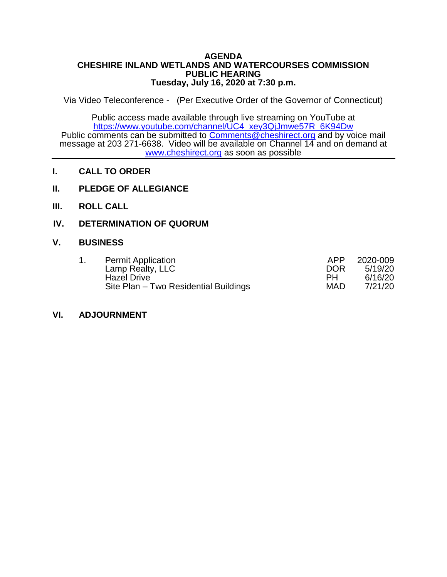#### **AGENDA CHESHIRE INLAND WETLANDS AND WATERCOURSES COMMISSION PUBLIC HEARING Tuesday, July 16, 2020 at 7:30 p.m.**

Via Video Teleconference - (Per Executive Order of the Governor of Connecticut)

Public access made available through live streaming on YouTube at [https://www.youtube.com/channel/UC4\\_xey3QjJmwe57R\\_6K94Dw](https://www.youtube.com/channel/UC4_xey3QjJmwe57R_6K94Dw) Public comments can be submitted to [Comments@cheshirect.org](mailto:Comments@cheshirect.org) and by voice mail message at 203 271-6638. Video will be available on Channel 14 and on demand at [www.cheshirect.org](http://www.cheshirect.org/) as soon as possible

- **I. CALL TO ORDER**
- **II. PLEDGE OF ALLEGIANCE**
- **III. ROLL CALL**

## **IV. DETERMINATION OF QUORUM**

### **V. BUSINESS**

| <b>Permit Application</b>             | APP        | 2020-009 |
|---------------------------------------|------------|----------|
| Lamp Realty, LLC                      | <b>DOR</b> | 5/19/20  |
| <b>Hazel Drive</b>                    | PH         | 6/16/20  |
| Site Plan - Two Residential Buildings | <b>MAD</b> | 7/21/20  |

### **VI. ADJOURNMENT**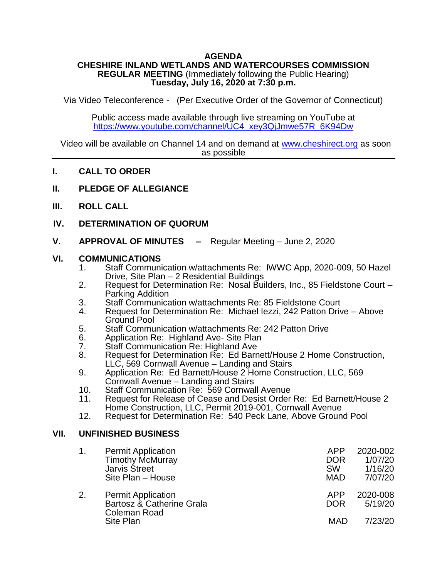# **AGENDA**

### **CHESHIRE INLAND WETLANDS AND WATERCOURSES COMMISSION REGULAR MEETING** (Immediately following the Public Hearing) **Tuesday, July 16, 2020 at 7:30 p.m.**

Via Video Teleconference - (Per Executive Order of the Governor of Connecticut)

Public access made available through live streaming on YouTube at [https://www.youtube.com/channel/UC4\\_xey3QjJmwe57R\\_6K94Dw](https://www.youtube.com/channel/UC4_xey3QjJmwe57R_6K94Dw)

Video will be available on Channel 14 and on demand at [www.cheshirect.org](http://www.cheshirect.org/) as soon as possible

- **I. CALL TO ORDER**
- **II. PLEDGE OF ALLEGIANCE**
- **III. ROLL CALL**
- **IV. DETERMINATION OF QUORUM**
- **V. APPROVAL OF MINUTES –** Regular Meeting June 2, 2020

### **VI. COMMUNICATIONS**

- 1. Staff Communication w/attachments Re: IWWC App, 2020-009, 50 Hazel Drive, Site Plan – 2 Residential Buildings
- 2. Request for Determination Re: Nosal Builders, Inc., 85 Fieldstone Court Parking Addition
- 3. Staff Communication w/attachments Re: 85 Fieldstone Court
- 4. Request for Determination Re: Michael Iezzi, 242 Patton Drive Above Ground Pool
- 5. Staff Communication w/attachments Re: 242 Patton Drive<br>6. Application Re: Highland Ave- Site Plan
- 6. Application Re: Highland Ave- Site Plan<br>7. Staff Communication Re: Highland Ave
- 7. Staff Communication Re: Highland Ave<br>8. Request for Determination Re: Ed Barn
- 8. Request for Determination Re: Ed Barnett/House 2 Home Construction, LLC, 569 Cornwall Avenue – Landing and Stairs
- 9. Application Re: Ed Barnett/House 2 Home Construction, LLC, 569 Cornwall Avenue – Landing and Stairs
- 10. Staff Communication Re: 569 Cornwall Avenue<br>11. Request for Release of Cease and Desist Order
- 11. Request for Release of Cease and Desist Order Re: Ed Barnett/House 2 Home Construction, LLC, Permit 2019-001, Cornwall Avenue
- 12. Request for Determination Re: 540 Peck Lane, Above Ground Pool

### **VII. UNFINISHED BUSINESS**

|    | <b>Permit Application</b>                                                           | APP                      | 2020-002                       |
|----|-------------------------------------------------------------------------------------|--------------------------|--------------------------------|
|    | <b>Timothy McMurray</b>                                                             | <b>DOR</b>               | 1/07/20                        |
|    | <b>Jarvis Street</b>                                                                | <b>SW</b>                | 1/16/20                        |
|    | Site Plan - House                                                                   | <b>MAD</b>               | 7/07/20                        |
| 2. | <b>Permit Application</b><br>Bartosz & Catherine Grala<br>Coleman Road<br>Site Plan | APP<br><b>DOR</b><br>MAD | 2020-008<br>5/19/20<br>7/23/20 |